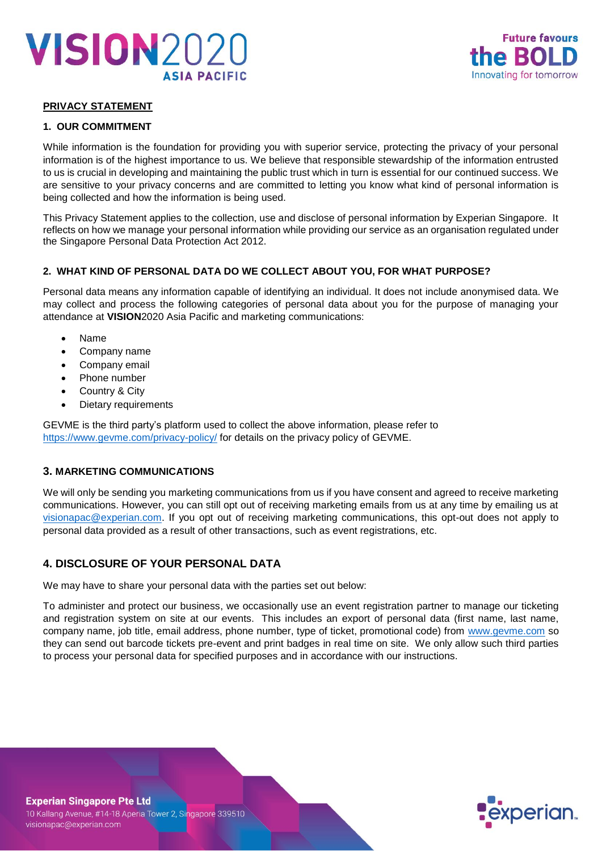



## **PRIVACY STATEMENT**

### **1. OUR COMMITMENT**

While information is the foundation for providing you with superior service, protecting the privacy of your personal information is of the highest importance to us. We believe that responsible stewardship of the information entrusted to us is crucial in developing and maintaining the public trust which in turn is essential for our continued success. We are sensitive to your privacy concerns and are committed to letting you know what kind of personal information is being collected and how the information is being used.

This Privacy Statement applies to the collection, use and disclose of personal information by Experian Singapore. It reflects on how we manage your personal information while providing our service as an organisation regulated under the Singapore Personal Data Protection Act 2012.

### **2. WHAT KIND OF PERSONAL DATA DO WE COLLECT ABOUT YOU, FOR WHAT PURPOSE?**

Personal data means any information capable of identifying an individual. It does not include anonymised data. We may collect and process the following categories of personal data about you for the purpose of managing your attendance at **VISION**2020 Asia Pacific and marketing communications:

- Name
- Company name
- Company email
- Phone number
- Country & City
- Dietary requirements

GEVME is the third party's platform used to collect the above information, please refer to <https://www.gevme.com/privacy-policy/> for details on the privacy policy of GEVME.

## **3. MARKETING COMMUNICATIONS**

We will only be sending you marketing communications from us if you have consent and agreed to receive marketing communications. However, you can still opt out of receiving marketing emails from us at any time by emailing us at [visionapac@experian.com.](mailto:visionapac@experian.com) If you opt out of receiving marketing communications, this opt-out does not apply to personal data provided as a result of other transactions, such as event registrations, etc.

## **4. DISCLOSURE OF YOUR PERSONAL DATA**

We may have to share your personal data with the parties set out below:

To administer and protect our business, we occasionally use an event registration partner to manage our ticketing and registration system on site at our events. This includes an export of personal data (first name, last name, company name, job title, email address, phone number, type of ticket, promotional code) from [www.gevme.com](http://www.gevme.com/) so they can send out barcode tickets pre-event and print badges in real time on site. We only allow such third parties to process your personal data for specified purposes and in accordance with our instructions.



### **Experian Singapore Pte Ltd**

10 Kallang Avenue, #14-18 Aperia Tower 2, Singapore 339510 visionapac@experian.com